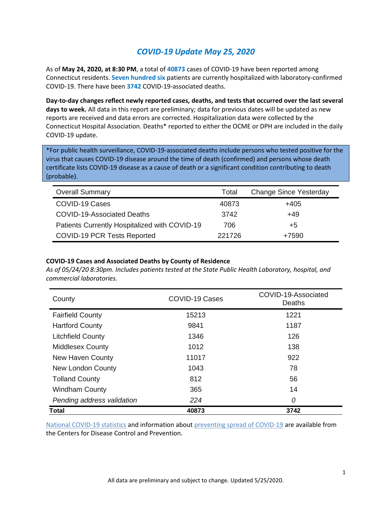## *COVID-19 Update May 25, 2020*

As of **May 24, 2020, at 8:30 PM**, a total of **40873** cases of COVID-19 have been reported among Connecticut residents. **Seven hundred six** patients are currently hospitalized with laboratory-confirmed COVID-19. There have been **3742** COVID-19-associated deaths.

**Day-to-day changes reflect newly reported cases, deaths, and tests that occurred over the last several days to week.** All data in this report are preliminary; data for previous dates will be updated as new reports are received and data errors are corrected. Hospitalization data were collected by the Connecticut Hospital Association. Deaths\* reported to either the OCME or DPH are included in the daily COVID-19 update.

\*For public health surveillance, COVID-19-associated deaths include persons who tested positive for the virus that causes COVID-19 disease around the time of death (confirmed) and persons whose death certificate lists COVID-19 disease as a cause of death or a significant condition contributing to death (probable).

| <b>Overall Summary</b>                        | Total  | <b>Change Since Yesterday</b> |
|-----------------------------------------------|--------|-------------------------------|
| COVID-19 Cases                                | 40873  | $+405$                        |
| <b>COVID-19-Associated Deaths</b>             | 3742   | +49                           |
| Patients Currently Hospitalized with COVID-19 | 706    | +5                            |
| <b>COVID-19 PCR Tests Reported</b>            | 221726 | +7590                         |

#### **COVID-19 Cases and Associated Deaths by County of Residence**

*As of 05/24/20 8:30pm. Includes patients tested at the State Public Health Laboratory, hospital, and commercial laboratories.*

| County                     | COVID-19 Cases | COVID-19-Associated<br>Deaths |  |
|----------------------------|----------------|-------------------------------|--|
| <b>Fairfield County</b>    | 15213          | 1221                          |  |
| <b>Hartford County</b>     | 9841           | 1187                          |  |
| <b>Litchfield County</b>   | 1346           | 126                           |  |
| <b>Middlesex County</b>    | 1012           | 138                           |  |
| <b>New Haven County</b>    | 11017          | 922                           |  |
| <b>New London County</b>   | 1043           | 78                            |  |
| <b>Tolland County</b>      | 812            | 56                            |  |
| <b>Windham County</b>      | 365            | 14                            |  |
| Pending address validation | 224            | 0                             |  |
| <b>Total</b>               | 40873          | 3742                          |  |

[National COVID-19 statistics](https://www.cdc.gov/coronavirus/2019-ncov/cases-updates/cases-in-us.html) and information abou[t preventing spread of COVID-19](https://www.cdc.gov/coronavirus/2019-ncov/prevent-getting-sick/prevention.html) are available from the Centers for Disease Control and Prevention.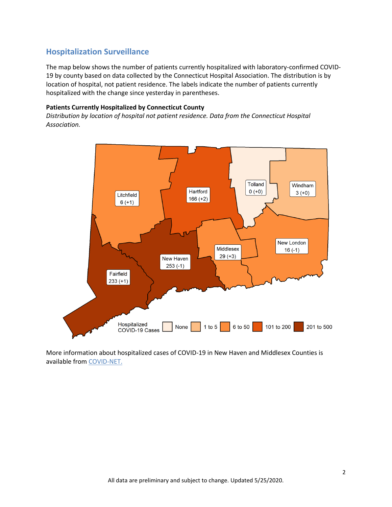### **Hospitalization Surveillance**

The map below shows the number of patients currently hospitalized with laboratory-confirmed COVID-19 by county based on data collected by the Connecticut Hospital Association. The distribution is by location of hospital, not patient residence. The labels indicate the number of patients currently hospitalized with the change since yesterday in parentheses.

#### **Patients Currently Hospitalized by Connecticut County**

*Distribution by location of hospital not patient residence. Data from the Connecticut Hospital Association.*



More information about hospitalized cases of COVID-19 in New Haven and Middlesex Counties is available from [COVID-NET.](https://gis.cdc.gov/grasp/COVIDNet/COVID19_3.html)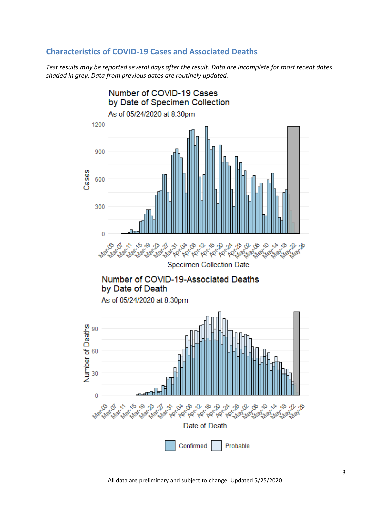### **Characteristics of COVID-19 Cases and Associated Deaths**

*Test results may be reported several days after the result. Data are incomplete for most recent dates shaded in grey. Data from previous dates are routinely updated.*

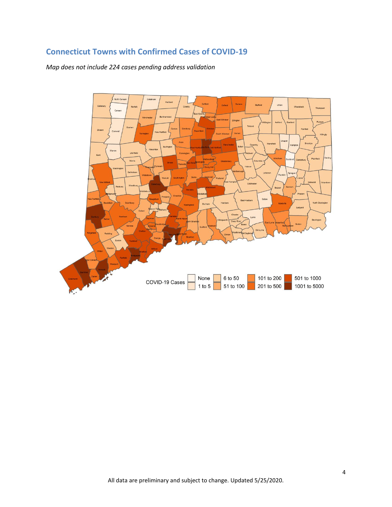# **Connecticut Towns with Confirmed Cases of COVID-19**

*Map does not include 224 cases pending address validation*

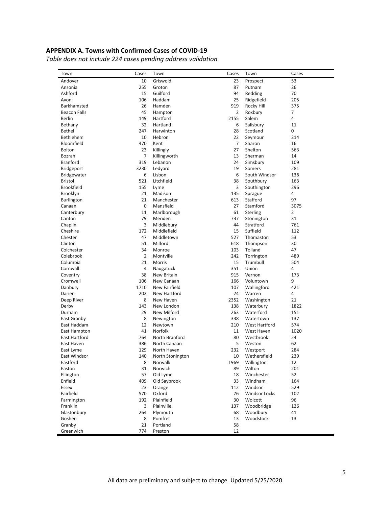#### **APPENDIX A. Towns with Confirmed Cases of COVID-19**

*Table does not include 224 cases pending address validation*

| Town                 | Cases          | Town                      | Cases          | Town                   | Cases          |
|----------------------|----------------|---------------------------|----------------|------------------------|----------------|
| Andover              | 10             | Griswold                  | 23             | Prospect               | 53             |
| Ansonia              | 255            | Groton                    | 87             | Putnam                 | 26             |
| Ashford              | 15             | Guilford                  | 94             | Redding                | 70             |
| Avon                 | 106            | Haddam                    | 25             | Ridgefield             | 205            |
| Barkhamsted          | 26             | Hamden                    | 919            | Rocky Hill             | 375            |
| <b>Beacon Falls</b>  | 45             | Hampton                   | 2              | Roxbury                | $\overline{7}$ |
| Berlin               | 149            | Hartford                  | 2155           | Salem                  | 4              |
| Bethany              | 32             | Hartland                  | 6              | Salisbury              | 11             |
| <b>Bethel</b>        | 247            | Harwinton                 | 28             | Scotland               | 0              |
| Bethlehem            | 10             | Hebron                    | 22             | Seymour                | 214            |
| Bloomfield           | 470            | Kent                      | $\overline{7}$ | Sharon                 | 16             |
| <b>Bolton</b>        | 23             | Killingly                 | 27             | Shelton                | 563            |
| Bozrah               | 7              | Killingworth              | 13             | Sherman                | 14             |
| <b>Branford</b>      | 319            | Lebanon                   | 24             | Simsbury               | 109            |
| <b>Bridgeport</b>    | 3230           | Ledyard                   | 19             | Somers                 | 281            |
| Bridgewater          | 6              | Lisbon                    | 6              | South Windsor          | 136            |
| Bristol              | 521            | Litchfield                | 38             | Southbury              | 163            |
| <b>Brookfield</b>    | 155            | Lyme                      | 3              | Southington            | 296            |
| Brooklyn             | 21             | Madison                   | 135            | Sprague                | 4              |
| <b>Burlington</b>    | 21             | Manchester                | 613            | Stafford               | 97             |
| Canaan               | 0              | Mansfield                 | 27             | Stamford               | 3075           |
| Canterbury           | 11             | Marlborough               | 61             | <b>Sterling</b>        | $\overline{2}$ |
| Canton               | 79             | Meriden                   | 737            | Stonington             | 31             |
| Chaplin              | 3              | Middlebury                | 44             | Stratford              | 761            |
| Cheshire             | 172            | Middlefield               | 15             | Suffield               | 112            |
| Chester              | 47             | Middletown                | 527            | Thomaston              | 53             |
| Clinton              | 51             | Milford                   | 618            | Thompson               | 30             |
| Colchester           | 34             | Monroe                    | 103            | Tolland                | 47             |
| Colebrook            | $\overline{2}$ | Montville                 | 242            | Torrington             | 489            |
| Columbia             | 21             | Morris                    | 15             | Trumbull               | 504            |
| Cornwall             | 4              | Naugatuck                 | 351            | Union                  | 4              |
| Coventry             | 38             | New Britain               | 915            | Vernon                 | 173            |
| Cromwell             | 106            | New Canaan                | 166            | Voluntown              | 9              |
| Danbury              | 1710           | New Fairfield             | 107            | Wallingford            | 421            |
| Darien               | 202            | New Hartford              | 24             | Warren                 | 4              |
|                      | 8              | New Haven                 | 2352           |                        | 21             |
| Deep River<br>Derby  | 143            | New London                | 138            | Washington             | 1822           |
|                      | 29             | New Milford               | 263            | Waterbury<br>Waterford |                |
| Durham               |                |                           |                |                        | 151            |
| East Granby          | 8              | Newington                 | 338            | Watertown              | 137            |
| East Haddam          | 12             | Newtown                   | 210            | <b>West Hartford</b>   | 574            |
| East Hampton         | 41             | Norfolk<br>North Branford | 11             | West Haven             | 1020           |
| <b>East Hartford</b> | 764            | North Canaan              | 80             | Westbrook              | 24             |
| East Haven           | 386            |                           | 5              | Weston                 | 62             |
| East Lyme            | 129            | North Haven               | 232            | Westport               | 284            |
| East Windsor         | 140            | North Stonington          | 10             | Wethersfield           | 239            |
| Eastford             | 8              | Norwalk                   | 1969           | Willington             | 12             |
| Easton               | 31             | Norwich                   | 89             | Wilton                 | 201            |
| Ellington            | 57             | Old Lyme                  | 18             | Winchester             | 52             |
| Enfield              | 409            | Old Saybrook              | 33             | Windham                | 164            |
| Essex                | 23             | Orange                    | 112            | Windsor                | 529            |
| Fairfield            | 570            | Oxford                    | 76             | <b>Windsor Locks</b>   | 102            |
| Farmington           | 192            | Plainfield                | 30             | Wolcott                | 96             |
| Franklin             | 3              | Plainville                | 137            | Woodbridge             | 126            |
| Glastonbury          | 264            | Plymouth                  | 68             | Woodbury               | 41             |
| Goshen               | 8              | Pomfret                   | 13             | Woodstock              | 13             |
| Granby               | 21             | Portland                  | 58             |                        |                |
| Greenwich            | 774            | Preston                   | 12             |                        |                |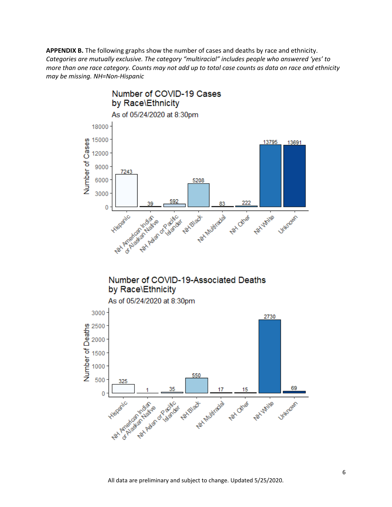**APPENDIX B.** The following graphs show the number of cases and deaths by race and ethnicity. *Categories are mutually exclusive. The category "multiracial" includes people who answered 'yes' to more than one race category. Counts may not add up to total case counts as data on race and ethnicity may be missing. NH=Non-Hispanic*



### Number of COVID-19-Associated Deaths by Race\Ethnicity